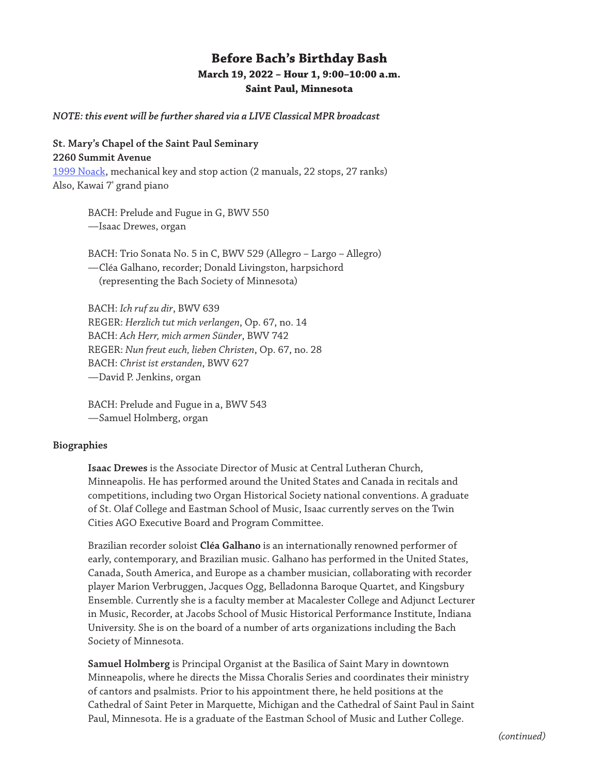## **Before Bach's Birthday Bash March 19, 2022 – Hour 1, 9:00–10:00 a.m. Saint Paul, Minnesota**

*NOTE: this event will be further shared via a LIVE Classical MPR broadcast*

## **St. Mary's Chapel of the Saint Paul Seminary**

**2260 Summit Avenue** [1999 Noack,](https://www.pipeorganlist.com/OrganList/datamn/MNStPaulStPaulSemStMarysChapel-NOACK-Op136.html) mechanical key and stop action (2 manuals, 22 stops, 27 ranks) Also, Kawai 7' grand piano

> BACH: Prelude and Fugue in G, BWV 550 —Isaac Drewes, organ

BACH: Trio Sonata No. 5 in C, BWV 529 (Allegro – Largo – Allegro) —Cléa Galhano, recorder; Donald Livingston, harpsichord (representing the Bach Society of Minnesota)

BACH: *Ich ruf zu dir*, BWV 639 REGER: *Herzlich tut mich verlangen*, Op. 67, no. 14 BACH: *Ach Herr, mich armen Sünder*, BWV 742 REGER: *Nun freut euch, lieben Christen*, Op. 67, no. 28 BACH: *Christ ist erstanden*, BWV 627 —David P. Jenkins, organ

BACH: Prelude and Fugue in a, BWV 543 —Samuel Holmberg, organ

## **Biographies**

**Isaac Drewes** is the Associate Director of Music at Central Lutheran Church, Minneapolis. He has performed around the United States and Canada in recitals and competitions, including two Organ Historical Society national conventions. A graduate of St. Olaf College and Eastman School of Music, Isaac currently serves on the Twin Cities AGO Executive Board and Program Committee.

Brazilian recorder soloist **Cléa Galhano** is an internationally renowned performer of early, contemporary, and Brazilian music. Galhano has performed in the United States, Canada, South America, and Europe as a chamber musician, collaborating with recorder player Marion Verbruggen, Jacques Ogg, Belladonna Baroque Quartet, and Kingsbury Ensemble. Currently she is a faculty member at Macalester College and Adjunct Lecturer in Music, Recorder, at Jacobs School of Music Historical Performance Institute, Indiana University. She is on the board of a number of arts organizations including the Bach Society of Minnesota.

**Samuel Holmberg** is Principal Organist at the Basilica of Saint Mary in downtown Minneapolis, where he directs the Missa Choralis Series and coordinates their ministry of cantors and psalmists. Prior to his appointment there, he held positions at the Cathedral of Saint Peter in Marquette, Michigan and the Cathedral of Saint Paul in Saint Paul, Minnesota. He is a graduate of the Eastman School of Music and Luther College.